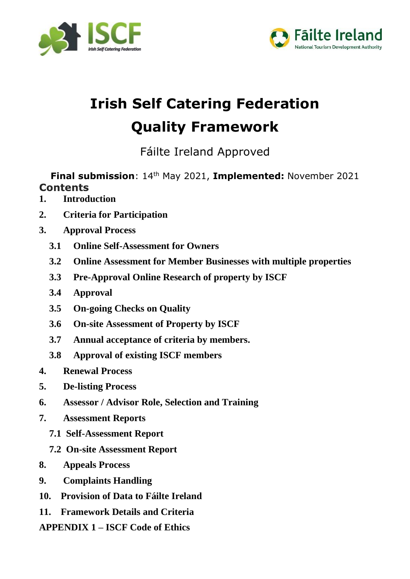



# **Irish Self Catering Federation Quality Framework**

Fáilte Ireland Approved

**Final submission**: 14th May 2021, **Implemented:** November 2021 **Contents** 

- **1. Introduction**
- **2. Criteria for Participation**
- **3. Approval Process**
	- **3.1 Online Self-Assessment for Owners**
	- **3.2 Online Assessment for Member Businesses with multiple properties**
	- **3.3 Pre-Approval Online Research of property by ISCF**
	- **3.4 Approval**
	- **3.5 On-going Checks on Quality**
	- **3.6 On-site Assessment of Property by ISCF**
	- **3.7 Annual acceptance of criteria by members.**
	- **3.8 Approval of existing ISCF members**
- **4. Renewal Process**
- **5. De-listing Process**
- **6. Assessor / Advisor Role, Selection and Training**
- **7. Assessment Reports**
	- **7.1 Self-Assessment Report**
	- **7.2 On-site Assessment Report**
- **8. Appeals Process**
- **9. Complaints Handling**
- **10. Provision of Data to Fáilte Ireland**
- **11. Framework Details and Criteria**

**APPENDIX 1 – ISCF Code of Ethics**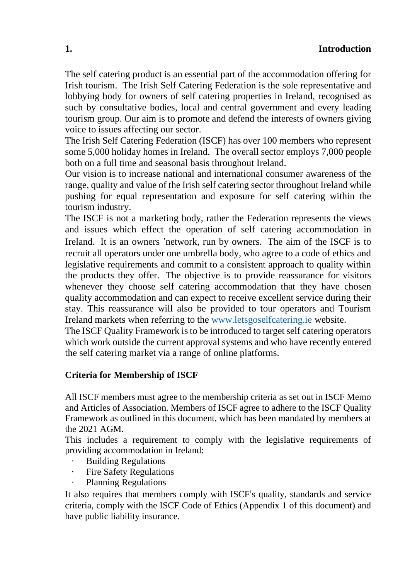#### **1. Introduction**

The self catering product is an essential part of the accommodation offering for Irish tourism. The Irish Self Catering Federation is the sole representative and lobbying body for owners of self catering properties in Ireland, recognised as such by consultative bodies, local and central government and every leading tourism group. Our aim is to promote and defend the interests of owners giving voice to issues affecting our sector.

The Irish Self Catering Federation (ISCF) has over 100 members who represent some 5,000 holiday homes in Ireland. The overall sector employs 7,000 people both on a full time and seasonal basis throughout Ireland.

Our vision is to increase national and international consumer awareness of the range, quality and value of the Irish self catering sector throughout Ireland while pushing for equal representation and exposure for self catering within the tourism industry.

The ISCF is not a marketing body, rather the Federation represents the views and issues which effect the operation of self catering accommodation in Ireland. It is an owners 'network, run by owners. The aim of the ISCF is to recruit all operators under one umbrella body, who agree to a code of ethics and legislative requirements and commit to a consistent approach to quality within the products they offer. The objective is to provide reassurance for visitors whenever they choose self catering accommodation that they have chosen quality accommodation and can expect to receive excellent service during their stay. This reassurance will also be provided to tour operators and Tourism Ireland markets when referring to the [www.letsgoselfcatering.ie](http://www.letsgoselfcatering.ie/) website.

The ISCF Quality Framework is to be introduced to target self catering operators which work outside the current approval systems and who have recently entered the self catering market via a range of online platforms.

#### **Criteria for Membership of ISCF**

All ISCF members must agree to the membership criteria as set out in ISCF Memo and Articles of Association. Members of ISCF agree to adhere to the ISCF Quality Framework as outlined in this document, which has been mandated by members at the 2021 AGM.

This includes a requirement to comply with the legislative requirements of providing accommodation in Ireland:

- · Building Regulations
- · Fire Safety Regulations
- Planning Regulations

It also requires that members comply with ISCF's quality, standards and service criteria, comply with the ISCF Code of Ethics (Appendix 1 of this document) and have public liability insurance.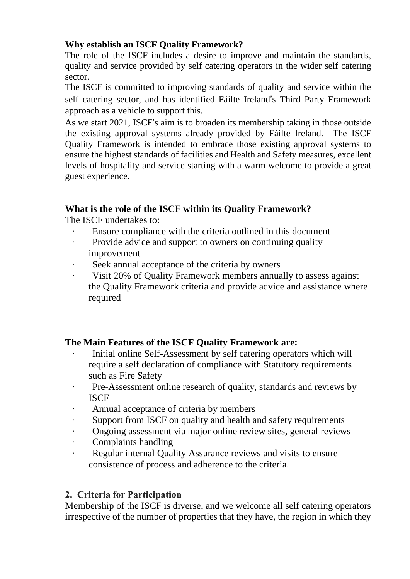#### **Why establish an ISCF Quality Framework?**

The role of the ISCF includes a desire to improve and maintain the standards, quality and service provided by self catering operators in the wider self catering sector.

The ISCF is committed to improving standards of quality and service within the self catering sector, and has identified Fáilte Ireland's Third Party Framework approach as a vehicle to support this.

As we start 2021, ISCF's aim is to broaden its membership taking in those outside the existing approval systems already provided by Fáilte Ireland. The ISCF Quality Framework is intended to embrace those existing approval systems to ensure the highest standards of facilities and Health and Safety measures, excellent levels of hospitality and service starting with a warm welcome to provide a great guest experience.

#### **What is the role of the ISCF within its Quality Framework?**

The ISCF undertakes to:

- · Ensure compliance with the criteria outlined in this document
- · Provide advice and support to owners on continuing quality improvement
- Seek annual acceptance of the criteria by owners
- · Visit 20% of Quality Framework members annually to assess against the Quality Framework criteria and provide advice and assistance where required

#### **The Main Features of the ISCF Quality Framework are:**

- Initial online Self-Assessment by self catering operators which will require a self declaration of compliance with Statutory requirements such as Fire Safety
- · Pre-Assessment online research of quality, standards and reviews by ISCF
- · Annual acceptance of criteria by members
- · Support from ISCF on quality and health and safety requirements
- · Ongoing assessment via major online review sites, general reviews
- · Complaints handling
- · Regular internal Quality Assurance reviews and visits to ensure consistence of process and adherence to the criteria.

#### 2. Criteria for Participation

Membership of the ISCF is diverse, and we welcome all self catering operators irrespective of the number of properties that they have, the region in which they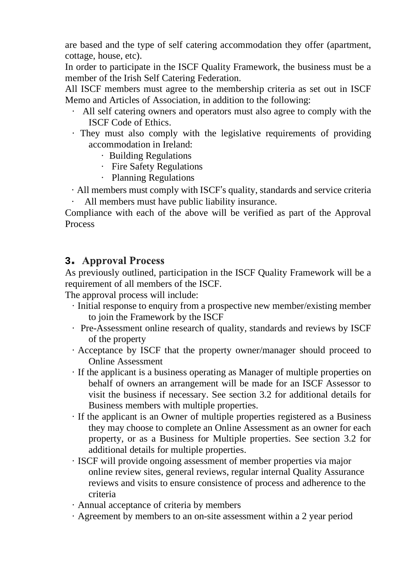are based and the type of self catering accommodation they offer (apartment, cottage, house, etc).

In order to participate in the ISCF Quality Framework, the business must be a member of the Irish Self Catering Federation.

All ISCF members must agree to the membership criteria as set out in ISCF Memo and Articles of Association, in addition to the following:

- · All self catering owners and operators must also agree to comply with the ISCF Code of Ethics.
- · They must also comply with the legislative requirements of providing accommodation in Ireland:
	- · Building Regulations
	- · Fire Safety Regulations
	- · Planning Regulations
- · All members must comply with ISCF's quality, standards and service criteria
- All members must have public liability insurance.

Compliance with each of the above will be verified as part of the Approval Process

#### **3.** Approval Process

As previously outlined, participation in the ISCF Quality Framework will be a requirement of all members of the ISCF.

The approval process will include:

- · Initial response to enquiry from a prospective new member/existing member to join the Framework by the ISCF
- · Pre-Assessment online research of quality, standards and reviews by ISCF of the property
- · Acceptance by ISCF that the property owner/manager should proceed to Online Assessment
- · If the applicant is a business operating as Manager of multiple properties on behalf of owners an arrangement will be made for an ISCF Assessor to visit the business if necessary. See section 3.2 for additional details for Business members with multiple properties.
- · If the applicant is an Owner of multiple properties registered as a Business they may choose to complete an Online Assessment as an owner for each property, or as a Business for Multiple properties. See section 3.2 for additional details for multiple properties.
- · ISCF will provide ongoing assessment of member properties via major online review sites, general reviews, regular internal Quality Assurance reviews and visits to ensure consistence of process and adherence to the criteria
- · Annual acceptance of criteria by members
- · Agreement by members to an on-site assessment within a 2 year period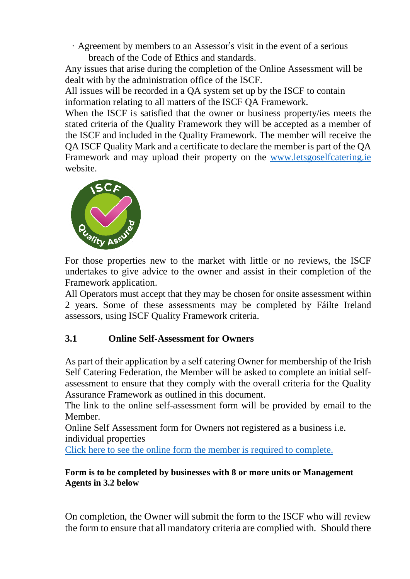· Agreement by members to an Assessor's visit in the event of a serious breach of the Code of Ethics and standards.

Any issues that arise during the completion of the Online Assessment will be dealt with by the administration office of the ISCF.

All issues will be recorded in a QA system set up by the ISCF to contain information relating to all matters of the ISCF QA Framework.

When the ISCF is satisfied that the owner or business property/ies meets the stated criteria of the Quality Framework they will be accepted as a member of the ISCF and included in the Quality Framework. The member will receive the QA ISCF Quality Mark and a certificate to declare the member is part of the QA Framework and may upload their property on the [www.letsgoselfcatering.ie](http://www.letsgoselfcatering.ie/) website.



For those properties new to the market with little or no reviews, the ISCF undertakes to give advice to the owner and assist in their completion of the Framework application.

All Operators must accept that they may be chosen for onsite assessment within 2 years. Some of these assessments may be completed by Fáilte Ireland assessors, using ISCF Quality Framework criteria.

#### **3.1 Online Self-Assessment for Owners**

As part of their application by a self catering Owner for membership of the Irish Self Catering Federation, the Member will be asked to complete an initial selfassessment to ensure that they comply with the overall criteria for the Quality Assurance Framework as outlined in this document.

The link to the online self-assessment form will be provided by email to the Member.

Online Self Assessment form for Owners not registered as a business i.e. individual properties

Click here to see the online form the member is required to [complete.](https://forms.office.com/Pages/ResponsePage.aspx?id=iavwTg3xtEOhJzGspQORXYPN-lyzuExIhLLFnmXn851UMFo0M1M0UEZQMVdBQlM5VUI1NUtVV1JMMi4u)

#### **Form is to be completed by businesses with 8 or more units or Management Agents in 3.2 below**

On completion, the Owner will submit the form to the ISCF who will review the form to ensure that all mandatory criteria are complied with. Should there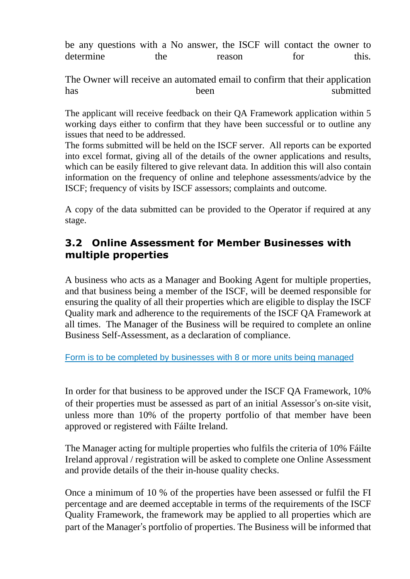|           |     | be any questions with a No answer, the ISCF will contact the owner to |     |       |
|-----------|-----|-----------------------------------------------------------------------|-----|-------|
| determine | the | reason                                                                | for | this. |

The Owner will receive an automated email to confirm that their application has been submitted

The applicant will receive feedback on their QA Framework application within 5 working days either to confirm that they have been successful or to outline any issues that need to be addressed.

The forms submitted will be held on the ISCF server. All reports can be exported into excel format, giving all of the details of the owner applications and results, which can be easily filtered to give relevant data. In addition this will also contain information on the frequency of online and telephone assessments/advice by the ISCF; frequency of visits by ISCF assessors; complaints and outcome.

A copy of the data submitted can be provided to the Operator if required at any stage.

## **3.2 Online Assessment for Member Businesses with multiple properties**

A business who acts as a Manager and Booking Agent for multiple properties, and that business being a member of the ISCF, will be deemed responsible for ensuring the quality of all their properties which are eligible to display the ISCF Quality mark and adherence to the requirements of the ISCF QA Framework at all times. The Manager of the Business will be required to complete an online Business Self-Assessment, as a declaration of compliance.

Form is to be completed by businesses with 8 or more units being managed

In order for that business to be approved under the ISCF QA Framework, 10% of their properties must be assessed as part of an initial Assessor's on-site visit, unless more than 10% of the property portfolio of that member have been approved or registered with Fáilte Ireland.

The Manager acting for multiple properties who fulfils the criteria of 10% Fáilte Ireland approval / registration will be asked to complete one Online Assessment and provide details of the their in-house quality checks.

Once a minimum of 10 % of the properties have been assessed or fulfil the FI percentage and are deemed acceptable in terms of the requirements of the ISCF Quality Framework, the framework may be applied to all properties which are part of the Manager's portfolio of properties. The Business will be informed that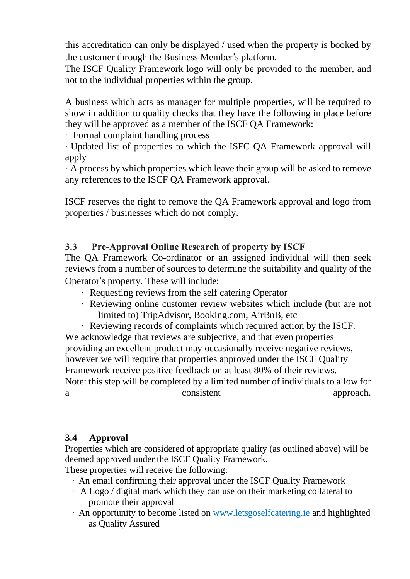this accreditation can only be displayed / used when the property is booked by the customer through the Business Member's platform.

The ISCF Quality Framework logo will only be provided to the member, and not to the individual properties within the group.

A business which acts as manager for multiple properties, will be required to show in addition to quality checks that they have the following in place before they will be approved as a member of the ISCF QA Framework:

· Formal complaint handling process

· Updated list of properties to which the ISFC QA Framework approval will apply

· A process by which properties which leave their group will be asked to remove any references to the ISCF QA Framework approval.

ISCF reserves the right to remove the QA Framework approval and logo from properties / businesses which do not comply.

#### $3.3<sup>°</sup>$ **Pre-Approval Online Research of property by ISCF**

The QA Framework Co-ordinator or an assigned individual will then seek reviews from a number of sources to determine the suitability and quality of the Operator's property. These will include:

- · Requesting reviews from the self catering Operator
- · Reviewing online customer review websites which include (but are not limited to) TripAdvisor, Booking.com, AirBnB, etc
- · Reviewing records of complaints which required action by the ISCF.

We acknowledge that reviews are subjective, and that even properties providing an excellent product may occasionally receive negative reviews, however we will require that properties approved under the ISCF Quality Framework receive positive feedback on at least 80% of their reviews. Note: this step will be completed by a limited number of individuals to allow for a consistent approach.

#### **3.4 Approval**

Properties which are considered of appropriate quality (as outlined above) will be deemed approved under the ISCF Quality Framework.

These properties will receive the following:

- · An email confirming their approval under the ISCF Quality Framework
- · A Logo / digital mark which they can use on their marketing collateral to promote their approval
- · An opportunity to become listed on [www.letsgoselfcatering.ie](http://www.letsgoselfcatering.ie/) and highlighted as Quality Assured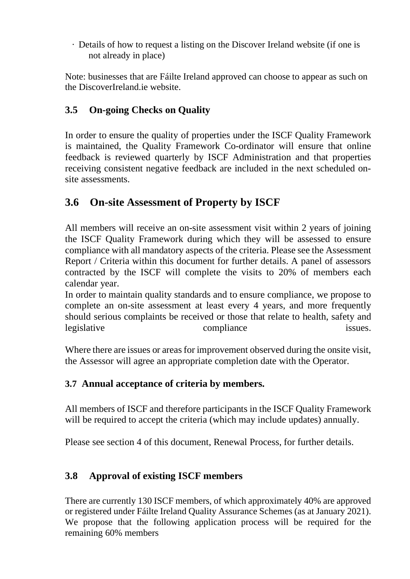· Details of how to request a listing on the Discover Ireland website (if one is not already in place)

Note: businesses that are Fáilte Ireland approved can choose to appear as such on the DiscoverIreland.ie website.

# **3.5 On-going Checks on Quality**

In order to ensure the quality of properties under the ISCF Quality Framework is maintained, the Quality Framework Co-ordinator will ensure that online feedback is reviewed quarterly by ISCF Administration and that properties receiving consistent negative feedback are included in the next scheduled onsite assessments.

# **3.6 On-site Assessment of Property by ISCF**

All members will receive an on-site assessment visit within 2 years of joining the ISCF Quality Framework during which they will be assessed to ensure compliance with all mandatory aspects of the criteria. Please see the Assessment Report / Criteria within this document for further details. A panel of assessors contracted by the ISCF will complete the visits to 20% of members each calendar year.

In order to maintain quality standards and to ensure compliance, we propose to complete an on-site assessment at least every 4 years, and more frequently should serious complaints be received or those that relate to health, safety and legislative compliance issues.

Where there are issues or areas for improvement observed during the onsite visit, the Assessor will agree an appropriate completion date with the Operator.

### **3.7 Annual acceptance of criteria by members.**

All members of ISCF and therefore participants in the ISCF Quality Framework will be required to accept the criteria (which may include updates) annually.

Please see section 4 of this document, Renewal Process, for further details.

### **3.8 Approval of existing ISCF members**

There are currently 130 ISCF members, of which approximately 40% are approved or registered under Fáilte Ireland Quality Assurance Schemes (as at January 2021). We propose that the following application process will be required for the remaining 60% members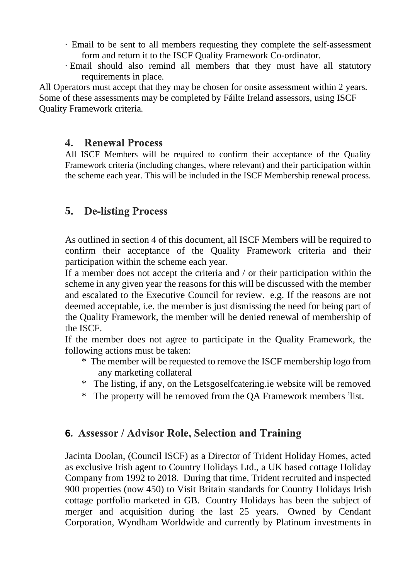- · Email to be sent to all members requesting they complete the self-assessment form and return it to the ISCF Quality Framework Co-ordinator.
- · Email should also remind all members that they must have all statutory requirements in place.

All Operators must accept that they may be chosen for onsite assessment within 2 years. Some of these assessments may be completed by Fáilte Ireland assessors, using ISCF Quality Framework criteria.

#### $\mathbf{4}$ . **Renewal Process**

All ISCF Members will be required to confirm their acceptance of the Quality Framework criteria (including changes, where relevant) and their participation within the scheme each year. This will be included in the ISCF Membership renewal process.

#### **De-listing Process 5**

As outlined in section 4 of this document, all ISCF Members will be required to confirm their acceptance of the Quality Framework criteria and their participation within the scheme each year.

If a member does not accept the criteria and / or their participation within the scheme in any given year the reasons for this will be discussed with the member and escalated to the Executive Council for review. e.g. If the reasons are not deemed acceptable, i.e. the member is just dismissing the need for being part of the Quality Framework, the member will be denied renewal of membership of the ISCF.

If the member does not agree to participate in the Quality Framework, the following actions must be taken:

- \* The member will be requested to remove the ISCF membership logo from any marketing collateral
- \* The listing, if any, on the Letsgoselfcatering.ie website will be removed
- \* The property will be removed from the QA Framework members 'list.

### **6.** Assessor / Advisor Role, Selection and Training

Jacinta Doolan, (Council ISCF) as a Director of Trident Holiday Homes, acted as exclusive Irish agent to Country Holidays Ltd., a UK based cottage Holiday Company from 1992 to 2018. During that time, Trident recruited and inspected 900 properties (now 450) to Visit Britain standards for Country Holidays Irish cottage portfolio marketed in GB. Country Holidays has been the subject of merger and acquisition during the last 25 years. Owned by Cendant Corporation, Wyndham Worldwide and currently by Platinum investments in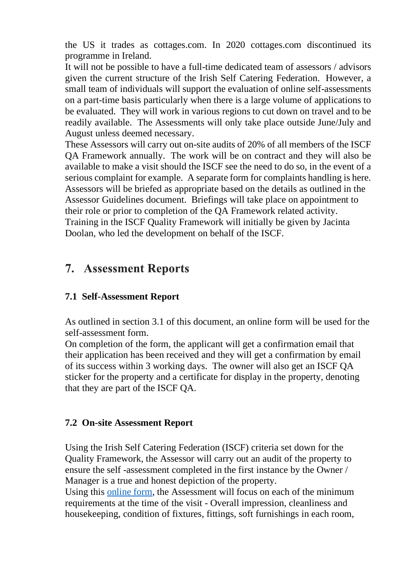the US it trades as cottages.com. In 2020 cottages.com discontinued its programme in Ireland.

It will not be possible to have a full-time dedicated team of assessors / advisors given the current structure of the Irish Self Catering Federation. However, a small team of individuals will support the evaluation of online self-assessments on a part-time basis particularly when there is a large volume of applications to be evaluated. They will work in various regions to cut down on travel and to be readily available. The Assessments will only take place outside June/July and August unless deemed necessary.

These Assessors will carry out on-site audits of 20% of all members of the ISCF QA Framework annually. The work will be on contract and they will also be available to make a visit should the ISCF see the need to do so, in the event of a serious complaint for example. A separate form for complaints handling is here. Assessors will be briefed as appropriate based on the details as outlined in the Assessor Guidelines document. Briefings will take place on appointment to their role or prior to completion of the QA Framework related activity. Training in the ISCF Quality Framework will initially be given by Jacinta Doolan, who led the development on behalf of the ISCF.

# **7.** Assessment Reports

#### **7.1 Self-Assessment Report**

As outlined in section 3.1 of this document, an online form will be used for the self-assessment form.

On completion of the form, the applicant will get a confirmation email that their application has been received and they will get a confirmation by email of its success within 3 working days. The owner will also get an ISCF QA sticker for the property and a certificate for display in the property, denoting that they are part of the ISCF QA.

#### **7.2 On-site Assessment Report**

Using the Irish Self Catering Federation (ISCF) criteria set down for the Quality Framework, the Assessor will carry out an audit of the property to ensure the self -assessment completed in the first instance by the Owner / Manager is a true and honest depiction of the property.

Using this [online](https://forms.office.com/r/Z7sDDyx8Pq) form, the Assessment will focus on each of the minimum requirements at the time of the visit - Overall impression, cleanliness and housekeeping, condition of fixtures, fittings, soft furnishings in each room,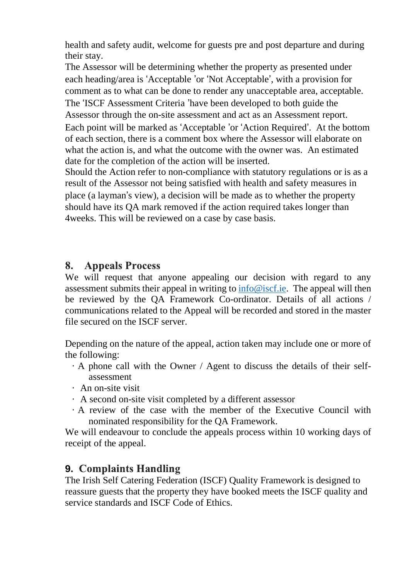health and safety audit, welcome for guests pre and post departure and during their stay.

The Assessor will be determining whether the property as presented under each heading/area is 'Acceptable 'or 'Not Acceptable', with a provision for comment as to what can be done to render any unacceptable area, acceptable. The 'ISCF Assessment Criteria 'have been developed to both guide the Assessor through the on-site assessment and act as an Assessment report. Each point will be marked as 'Acceptable 'or 'Action Required'. At the bottom of each section, there is a comment box where the Assessor will elaborate on what the action is, and what the outcome with the owner was. An estimated date for the completion of the action will be inserted.

Should the Action refer to non-compliance with statutory regulations or is as a result of the Assessor not being satisfied with health and safety measures in place (a layman's view), a decision will be made as to whether the property should have its QA mark removed if the action required takes longer than 4weeks. This will be reviewed on a case by case basis.

#### 8. **Appeals Process**

We will request that anyone appealing our decision with regard to any assessment submits their appeal in writing to [info@iscf.ie.](mailto:info@iscf.ie) The appeal will then be reviewed by the QA Framework Co-ordinator. Details of all actions / communications related to the Appeal will be recorded and stored in the master file secured on the ISCF server.

Depending on the nature of the appeal, action taken may include one or more of the following:

- · A phone call with the Owner / Agent to discuss the details of their selfassessment
- · An on-site visit
- · A second on-site visit completed by a different assessor
- · A review of the case with the member of the Executive Council with nominated responsibility for the QA Framework.

We will endeavour to conclude the appeals process within 10 working days of receipt of the appeal.

# **9. Complaints Handling**

The Irish Self Catering Federation (ISCF) Quality Framework is designed to reassure guests that the property they have booked meets the ISCF quality and service standards and ISCF Code of Ethics.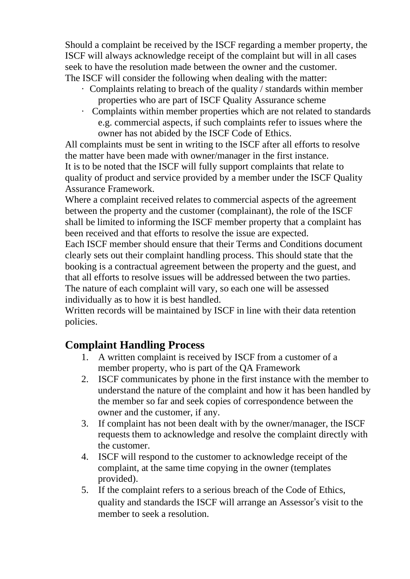Should a complaint be received by the ISCF regarding a member property, the ISCF will always acknowledge receipt of the complaint but will in all cases seek to have the resolution made between the owner and the customer. The ISCF will consider the following when dealing with the matter:

- · Complaints relating to breach of the quality / standards within member properties who are part of ISCF Quality Assurance scheme
- · Complaints within member properties which are not related to standards e.g. commercial aspects, if such complaints refer to issues where the owner has not abided by the ISCF Code of Ethics.

All complaints must be sent in writing to the ISCF after all efforts to resolve the matter have been made with owner/manager in the first instance. It is to be noted that the ISCF will fully support complaints that relate to quality of product and service provided by a member under the ISCF Quality Assurance Framework.

Where a complaint received relates to commercial aspects of the agreement between the property and the customer (complainant), the role of the ISCF shall be limited to informing the ISCF member property that a complaint has been received and that efforts to resolve the issue are expected.

Each ISCF member should ensure that their Terms and Conditions document clearly sets out their complaint handling process. This should state that the booking is a contractual agreement between the property and the guest, and that all efforts to resolve issues will be addressed between the two parties. The nature of each complaint will vary, so each one will be assessed individually as to how it is best handled.

Written records will be maintained by ISCF in line with their data retention policies.

# **Complaint Handling Process**

- 1. A written complaint is received by ISCF from a customer of a member property, who is part of the QA Framework
- 2. ISCF communicates by phone in the first instance with the member to understand the nature of the complaint and how it has been handled by the member so far and seek copies of correspondence between the owner and the customer, if any.
- 3. If complaint has not been dealt with by the owner/manager, the ISCF requests them to acknowledge and resolve the complaint directly with the customer.
- 4. ISCF will respond to the customer to acknowledge receipt of the complaint, at the same time copying in the owner (templates provided).
- 5. If the complaint refers to a serious breach of the Code of Ethics, quality and standards the ISCF will arrange an Assessor's visit to the member to seek a resolution.